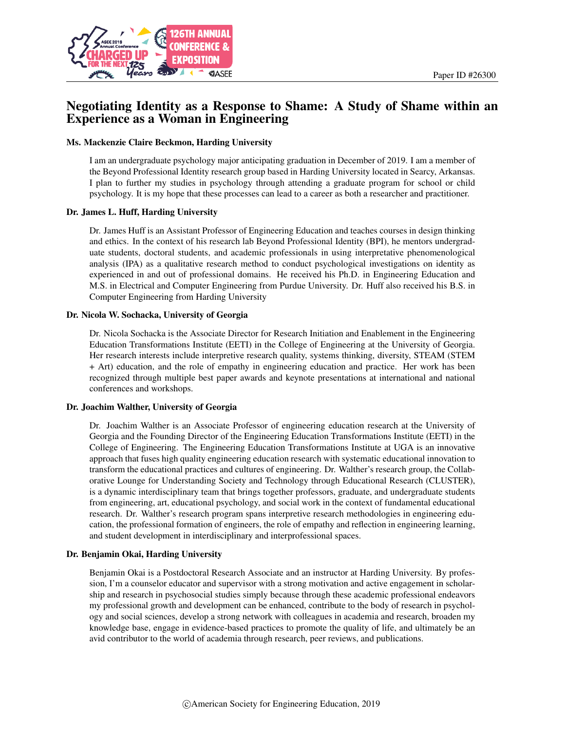

## Negotiating Identity as a Response to Shame: A Study of Shame within an Experience as a Woman in Engineering

### Ms. Mackenzie Claire Beckmon, Harding University

I am an undergraduate psychology major anticipating graduation in December of 2019. I am a member of the Beyond Professional Identity research group based in Harding University located in Searcy, Arkansas. I plan to further my studies in psychology through attending a graduate program for school or child psychology. It is my hope that these processes can lead to a career as both a researcher and practitioner.

### Dr. James L. Huff, Harding University

Dr. James Huff is an Assistant Professor of Engineering Education and teaches courses in design thinking and ethics. In the context of his research lab Beyond Professional Identity (BPI), he mentors undergraduate students, doctoral students, and academic professionals in using interpretative phenomenological analysis (IPA) as a qualitative research method to conduct psychological investigations on identity as experienced in and out of professional domains. He received his Ph.D. in Engineering Education and M.S. in Electrical and Computer Engineering from Purdue University. Dr. Huff also received his B.S. in Computer Engineering from Harding University

### Dr. Nicola W. Sochacka, University of Georgia

Dr. Nicola Sochacka is the Associate Director for Research Initiation and Enablement in the Engineering Education Transformations Institute (EETI) in the College of Engineering at the University of Georgia. Her research interests include interpretive research quality, systems thinking, diversity, STEAM (STEM + Art) education, and the role of empathy in engineering education and practice. Her work has been recognized through multiple best paper awards and keynote presentations at international and national conferences and workshops.

### Dr. Joachim Walther, University of Georgia

Dr. Joachim Walther is an Associate Professor of engineering education research at the University of Georgia and the Founding Director of the Engineering Education Transformations Institute (EETI) in the College of Engineering. The Engineering Education Transformations Institute at UGA is an innovative approach that fuses high quality engineering education research with systematic educational innovation to transform the educational practices and cultures of engineering. Dr. Walther's research group, the Collaborative Lounge for Understanding Society and Technology through Educational Research (CLUSTER), is a dynamic interdisciplinary team that brings together professors, graduate, and undergraduate students from engineering, art, educational psychology, and social work in the context of fundamental educational research. Dr. Walther's research program spans interpretive research methodologies in engineering education, the professional formation of engineers, the role of empathy and reflection in engineering learning, and student development in interdisciplinary and interprofessional spaces.

### Dr. Benjamin Okai, Harding University

Benjamin Okai is a Postdoctoral Research Associate and an instructor at Harding University. By profession, I'm a counselor educator and supervisor with a strong motivation and active engagement in scholarship and research in psychosocial studies simply because through these academic professional endeavors my professional growth and development can be enhanced, contribute to the body of research in psychology and social sciences, develop a strong network with colleagues in academia and research, broaden my knowledge base, engage in evidence-based practices to promote the quality of life, and ultimately be an avid contributor to the world of academia through research, peer reviews, and publications.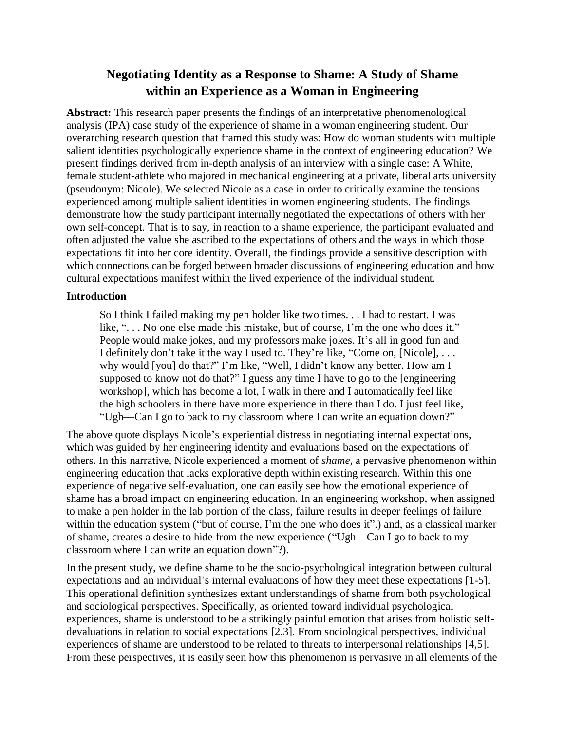# **Negotiating Identity as a Response to Shame: A Study of Shame within an Experience as a Woman in Engineering**

**Abstract:** This research paper presents the findings of an interpretative phenomenological analysis (IPA) case study of the experience of shame in a woman engineering student. Our overarching research question that framed this study was: How do woman students with multiple salient identities psychologically experience shame in the context of engineering education? We present findings derived from in-depth analysis of an interview with a single case: A White, female student-athlete who majored in mechanical engineering at a private, liberal arts university (pseudonym: Nicole). We selected Nicole as a case in order to critically examine the tensions experienced among multiple salient identities in women engineering students. The findings demonstrate how the study participant internally negotiated the expectations of others with her own self-concept. That is to say, in reaction to a shame experience, the participant evaluated and often adjusted the value she ascribed to the expectations of others and the ways in which those expectations fit into her core identity. Overall, the findings provide a sensitive description with which connections can be forged between broader discussions of engineering education and how cultural expectations manifest within the lived experience of the individual student.

### **Introduction**

So I think I failed making my pen holder like two times. . . I had to restart. I was like, ". . . No one else made this mistake, but of course, I'm the one who does it." People would make jokes, and my professors make jokes. It's all in good fun and I definitely don't take it the way I used to. They're like, "Come on, [Nicole], . . . why would [you] do that?" I'm like, "Well, I didn't know any better. How am I supposed to know not do that?" I guess any time I have to go to the [engineering workshop], which has become a lot, I walk in there and I automatically feel like the high schoolers in there have more experience in there than I do. I just feel like, "Ugh—Can I go to back to my classroom where I can write an equation down?"

The above quote displays Nicole's experiential distress in negotiating internal expectations, which was guided by her engineering identity and evaluations based on the expectations of others. In this narrative, Nicole experienced a moment of *shame,* a pervasive phenomenon within engineering education that lacks explorative depth within existing research. Within this one experience of negative self-evaluation, one can easily see how the emotional experience of shame has a broad impact on engineering education. In an engineering workshop, when assigned to make a pen holder in the lab portion of the class, failure results in deeper feelings of failure within the education system ("but of course, I'm the one who does it".) and, as a classical marker of shame, creates a desire to hide from the new experience ("Ugh—Can I go to back to my classroom where I can write an equation down"?).

In the present study, we define shame to be the socio-psychological integration between cultural expectations and an individual's internal evaluations of how they meet these expectations [1-5]. This operational definition synthesizes extant understandings of shame from both psychological and sociological perspectives. Specifically, as oriented toward individual psychological experiences, shame is understood to be a strikingly painful emotion that arises from holistic selfdevaluations in relation to social expectations [2,3]. From sociological perspectives, individual experiences of shame are understood to be related to threats to interpersonal relationships [4,5]. From these perspectives, it is easily seen how this phenomenon is pervasive in all elements of the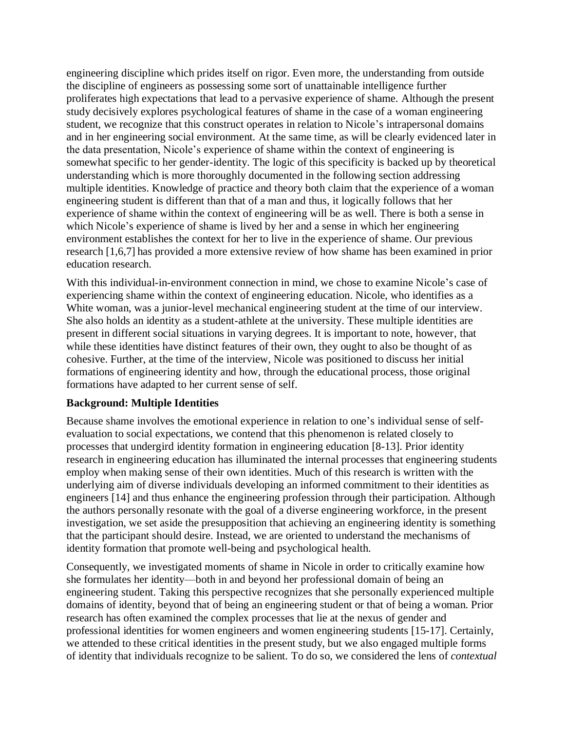engineering discipline which prides itself on rigor. Even more, the understanding from outside the discipline of engineers as possessing some sort of unattainable intelligence further proliferates high expectations that lead to a pervasive experience of shame. Although the present study decisively explores psychological features of shame in the case of a woman engineering student, we recognize that this construct operates in relation to Nicole's intrapersonal domains and in her engineering social environment. At the same time, as will be clearly evidenced later in the data presentation, Nicole's experience of shame within the context of engineering is somewhat specific to her gender-identity. The logic of this specificity is backed up by theoretical understanding which is more thoroughly documented in the following section addressing multiple identities. Knowledge of practice and theory both claim that the experience of a woman engineering student is different than that of a man and thus, it logically follows that her experience of shame within the context of engineering will be as well. There is both a sense in which Nicole's experience of shame is lived by her and a sense in which her engineering environment establishes the context for her to live in the experience of shame. Our previous research [1,6,7] has provided a more extensive review of how shame has been examined in prior education research.

With this individual-in-environment connection in mind, we chose to examine Nicole's case of experiencing shame within the context of engineering education. Nicole, who identifies as a White woman, was a junior-level mechanical engineering student at the time of our interview. She also holds an identity as a student-athlete at the university. These multiple identities are present in different social situations in varying degrees. It is important to note, however, that while these identities have distinct features of their own, they ought to also be thought of as cohesive. Further, at the time of the interview, Nicole was positioned to discuss her initial formations of engineering identity and how, through the educational process, those original formations have adapted to her current sense of self.

### **Background: Multiple Identities**

Because shame involves the emotional experience in relation to one's individual sense of selfevaluation to social expectations, we contend that this phenomenon is related closely to processes that undergird identity formation in engineering education [8-13]. Prior identity research in engineering education has illuminated the internal processes that engineering students employ when making sense of their own identities. Much of this research is written with the underlying aim of diverse individuals developing an informed commitment to their identities as engineers [14] and thus enhance the engineering profession through their participation. Although the authors personally resonate with the goal of a diverse engineering workforce, in the present investigation, we set aside the presupposition that achieving an engineering identity is something that the participant should desire. Instead, we are oriented to understand the mechanisms of identity formation that promote well-being and psychological health.

Consequently, we investigated moments of shame in Nicole in order to critically examine how she formulates her identity—both in and beyond her professional domain of being an engineering student. Taking this perspective recognizes that she personally experienced multiple domains of identity, beyond that of being an engineering student or that of being a woman. Prior research has often examined the complex processes that lie at the nexus of gender and professional identities for women engineers and women engineering students [15-17]. Certainly, we attended to these critical identities in the present study, but we also engaged multiple forms of identity that individuals recognize to be salient. To do so, we considered the lens of *contextual*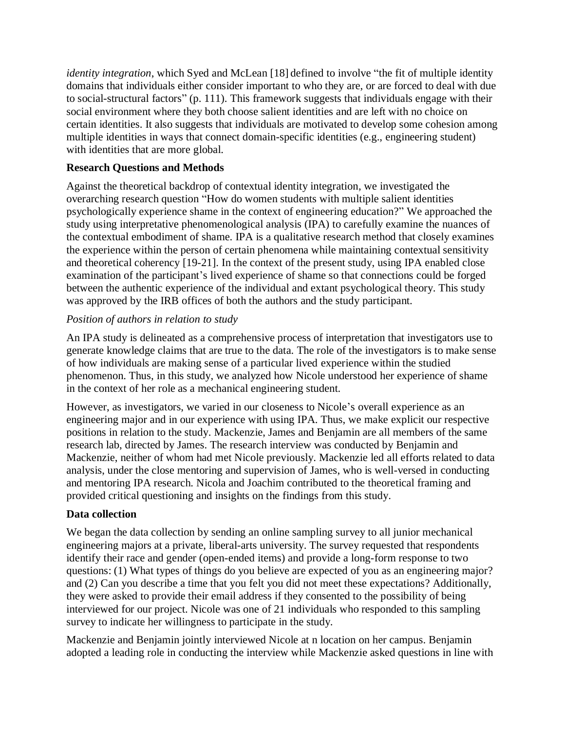*identity integration*, which Syed and McLean [18] defined to involve "the fit of multiple identity domains that individuals either consider important to who they are, or are forced to deal with due to social-structural factors" (p. 111). This framework suggests that individuals engage with their social environment where they both choose salient identities and are left with no choice on certain identities. It also suggests that individuals are motivated to develop some cohesion among multiple identities in ways that connect domain-specific identities (e.g., engineering student) with identities that are more global.

## **Research Questions and Methods**

Against the theoretical backdrop of contextual identity integration, we investigated the overarching research question "How do women students with multiple salient identities psychologically experience shame in the context of engineering education?" We approached the study using interpretative phenomenological analysis (IPA) to carefully examine the nuances of the contextual embodiment of shame. IPA is a qualitative research method that closely examines the experience within the person of certain phenomena while maintaining contextual sensitivity and theoretical coherency [19-21]. In the context of the present study, using IPA enabled close examination of the participant's lived experience of shame so that connections could be forged between the authentic experience of the individual and extant psychological theory. This study was approved by the IRB offices of both the authors and the study participant.

## *Position of authors in relation to study*

An IPA study is delineated as a comprehensive process of interpretation that investigators use to generate knowledge claims that are true to the data. The role of the investigators is to make sense of how individuals are making sense of a particular lived experience within the studied phenomenon. Thus, in this study, we analyzed how Nicole understood her experience of shame in the context of her role as a mechanical engineering student.

However, as investigators, we varied in our closeness to Nicole's overall experience as an engineering major and in our experience with using IPA. Thus, we make explicit our respective positions in relation to the study. Mackenzie, James and Benjamin are all members of the same research lab, directed by James. The research interview was conducted by Benjamin and Mackenzie, neither of whom had met Nicole previously. Mackenzie led all efforts related to data analysis, under the close mentoring and supervision of James, who is well-versed in conducting and mentoring IPA research. Nicola and Joachim contributed to the theoretical framing and provided critical questioning and insights on the findings from this study.

## **Data collection**

We began the data collection by sending an online sampling survey to all junior mechanical engineering majors at a private, liberal-arts university. The survey requested that respondents identify their race and gender (open-ended items) and provide a long-form response to two questions: (1) What types of things do you believe are expected of you as an engineering major? and (2) Can you describe a time that you felt you did not meet these expectations? Additionally, they were asked to provide their email address if they consented to the possibility of being interviewed for our project. Nicole was one of 21 individuals who responded to this sampling survey to indicate her willingness to participate in the study.

Mackenzie and Benjamin jointly interviewed Nicole at n location on her campus. Benjamin adopted a leading role in conducting the interview while Mackenzie asked questions in line with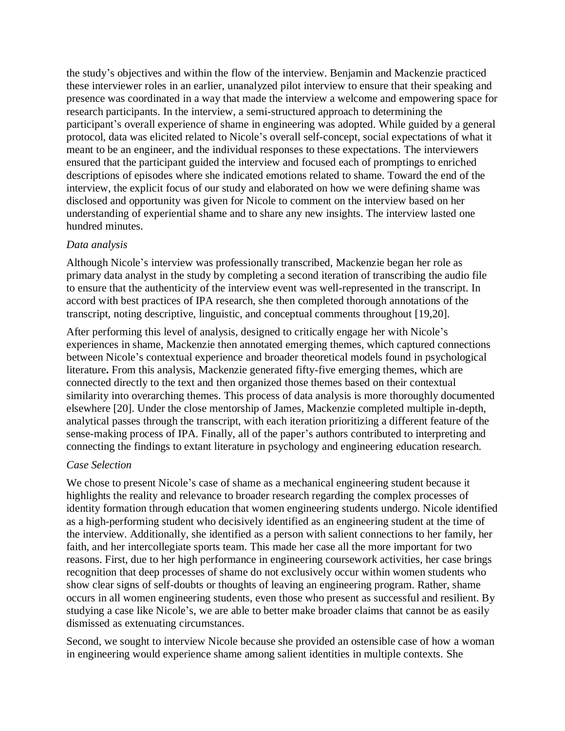the study's objectives and within the flow of the interview. Benjamin and Mackenzie practiced these interviewer roles in an earlier, unanalyzed pilot interview to ensure that their speaking and presence was coordinated in a way that made the interview a welcome and empowering space for research participants. In the interview, a semi-structured approach to determining the participant's overall experience of shame in engineering was adopted. While guided by a general protocol, data was elicited related to Nicole's overall self-concept, social expectations of what it meant to be an engineer, and the individual responses to these expectations. The interviewers ensured that the participant guided the interview and focused each of promptings to enriched descriptions of episodes where she indicated emotions related to shame. Toward the end of the interview, the explicit focus of our study and elaborated on how we were defining shame was disclosed and opportunity was given for Nicole to comment on the interview based on her understanding of experiential shame and to share any new insights. The interview lasted one hundred minutes.

### *Data analysis*

Although Nicole's interview was professionally transcribed, Mackenzie began her role as primary data analyst in the study by completing a second iteration of transcribing the audio file to ensure that the authenticity of the interview event was well-represented in the transcript. In accord with best practices of IPA research, she then completed thorough annotations of the transcript, noting descriptive, linguistic, and conceptual comments throughout [19,20].

After performing this level of analysis, designed to critically engage her with Nicole's experiences in shame, Mackenzie then annotated emerging themes, which captured connections between Nicole's contextual experience and broader theoretical models found in psychological literature**.** From this analysis, Mackenzie generated fifty-five emerging themes, which are connected directly to the text and then organized those themes based on their contextual similarity into overarching themes. This process of data analysis is more thoroughly documented elsewhere [20]. Under the close mentorship of James, Mackenzie completed multiple in-depth, analytical passes through the transcript, with each iteration prioritizing a different feature of the sense-making process of IPA. Finally, all of the paper's authors contributed to interpreting and connecting the findings to extant literature in psychology and engineering education research.

### *Case Selection*

We chose to present Nicole's case of shame as a mechanical engineering student because it highlights the reality and relevance to broader research regarding the complex processes of identity formation through education that women engineering students undergo. Nicole identified as a high-performing student who decisively identified as an engineering student at the time of the interview. Additionally, she identified as a person with salient connections to her family, her faith, and her intercollegiate sports team. This made her case all the more important for two reasons. First, due to her high performance in engineering coursework activities, her case brings recognition that deep processes of shame do not exclusively occur within women students who show clear signs of self-doubts or thoughts of leaving an engineering program. Rather, shame occurs in all women engineering students, even those who present as successful and resilient. By studying a case like Nicole's, we are able to better make broader claims that cannot be as easily dismissed as extenuating circumstances.

Second, we sought to interview Nicole because she provided an ostensible case of how a woman in engineering would experience shame among salient identities in multiple contexts. She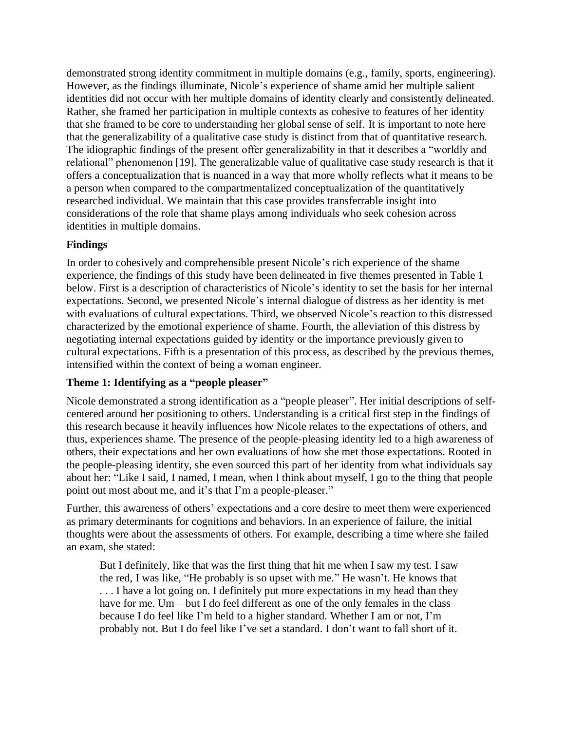demonstrated strong identity commitment in multiple domains (e.g., family, sports, engineering). However, as the findings illuminate, Nicole's experience of shame amid her multiple salient identities did not occur with her multiple domains of identity clearly and consistently delineated. Rather, she framed her participation in multiple contexts as cohesive to features of her identity that she framed to be core to understanding her global sense of self. It is important to note here that the generalizability of a qualitative case study is distinct from that of quantitative research. The idiographic findings of the present offer generalizability in that it describes a "worldly and relational" phenomenon [19]. The generalizable value of qualitative case study research is that it offers a conceptualization that is nuanced in a way that more wholly reflects what it means to be a person when compared to the compartmentalized conceptualization of the quantitatively researched individual. We maintain that this case provides transferrable insight into considerations of the role that shame plays among individuals who seek cohesion across identities in multiple domains.

## **Findings**

In order to cohesively and comprehensible present Nicole's rich experience of the shame experience, the findings of this study have been delineated in five themes presented in Table 1 below. First is a description of characteristics of Nicole's identity to set the basis for her internal expectations. Second, we presented Nicole's internal dialogue of distress as her identity is met with evaluations of cultural expectations. Third, we observed Nicole's reaction to this distressed characterized by the emotional experience of shame. Fourth, the alleviation of this distress by negotiating internal expectations guided by identity or the importance previously given to cultural expectations. Fifth is a presentation of this process, as described by the previous themes, intensified within the context of being a woman engineer.

## **Theme 1: Identifying as a "people pleaser"**

Nicole demonstrated a strong identification as a "people pleaser". Her initial descriptions of selfcentered around her positioning to others. Understanding is a critical first step in the findings of this research because it heavily influences how Nicole relates to the expectations of others, and thus, experiences shame. The presence of the people-pleasing identity led to a high awareness of others, their expectations and her own evaluations of how she met those expectations. Rooted in the people-pleasing identity, she even sourced this part of her identity from what individuals say about her: "Like I said, I named, I mean, when I think about myself, I go to the thing that people point out most about me, and it's that I'm a people-pleaser."

Further, this awareness of others' expectations and a core desire to meet them were experienced as primary determinants for cognitions and behaviors. In an experience of failure, the initial thoughts were about the assessments of others. For example, describing a time where she failed an exam, she stated:

But I definitely, like that was the first thing that hit me when I saw my test. I saw the red, I was like, "He probably is so upset with me." He wasn't. He knows that ... I have a lot going on. I definitely put more expectations in my head than they have for me. Um—but I do feel different as one of the only females in the class because I do feel like I'm held to a higher standard. Whether I am or not, I'm probably not. But I do feel like I've set a standard. I don't want to fall short of it.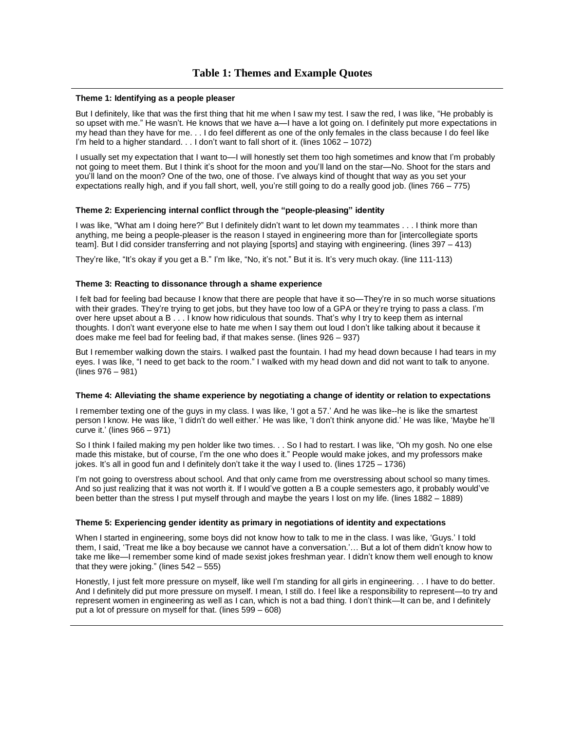#### **Theme 1: Identifying as a people pleaser**

But I definitely, like that was the first thing that hit me when I saw my test. I saw the red, I was like, "He probably is so upset with me." He wasn't. He knows that we have a—I have a lot going on. I definitely put more expectations in my head than they have for me. . . I do feel different as one of the only females in the class because I do feel like I'm held to a higher standard. . . I don't want to fall short of it. (lines 1062 – 1072)

I usually set my expectation that I want to—I will honestly set them too high sometimes and know that I'm probably not going to meet them. But I think it's shoot for the moon and you'll land on the star—No. Shoot for the stars and you'll land on the moon? One of the two, one of those. I've always kind of thought that way as you set your expectations really high, and if you fall short, well, you're still going to do a really good job. (lines 766 – 775)

### **Theme 2: Experiencing internal conflict through the "people-pleasing" identity**

I was like, "What am I doing here?" But I definitely didn't want to let down my teammates . . . I think more than anything, me being a people-pleaser is the reason I stayed in engineering more than for [intercollegiate sports team]. But I did consider transferring and not playing [sports] and staying with engineering. (lines 397 – 413)

They're like, "It's okay if you get a B." I'm like, "No, it's not." But it is. It's very much okay. (line 111-113)

### **Theme 3: Reacting to dissonance through a shame experience**

I felt bad for feeling bad because I know that there are people that have it so—They're in so much worse situations with their grades. They're trying to get jobs, but they have too low of a GPA or they're trying to pass a class. I'm over here upset about a B . . . I know how ridiculous that sounds. That's why I try to keep them as internal thoughts. I don't want everyone else to hate me when I say them out loud I don't like talking about it because it does make me feel bad for feeling bad, if that makes sense. (lines 926 – 937)

But I remember walking down the stairs. I walked past the fountain. I had my head down because I had tears in my eyes. I was like, "I need to get back to the room." I walked with my head down and did not want to talk to anyone. (lines 976 – 981)

### **Theme 4: Alleviating the shame experience by negotiating a change of identity or relation to expectations**

I remember texting one of the guys in my class. I was like, 'I got a 57.' And he was like--he is like the smartest person I know. He was like, 'I didn't do well either.' He was like, 'I don't think anyone did.' He was like, 'Maybe he'll curve it.' (lines 966 – 971)

So I think I failed making my pen holder like two times. . . So I had to restart. I was like, "Oh my gosh. No one else made this mistake, but of course, I'm the one who does it." People would make jokes, and my professors make jokes. It's all in good fun and I definitely don't take it the way I used to. (lines 1725 – 1736)

I'm not going to overstress about school. And that only came from me overstressing about school so many times. And so just realizing that it was not worth it. If I would've gotten a B a couple semesters ago, it probably would've been better than the stress I put myself through and maybe the years I lost on my life. (lines 1882 – 1889)

### **Theme 5: Experiencing gender identity as primary in negotiations of identity and expectations**

When I started in engineering, some boys did not know how to talk to me in the class. I was like, 'Guys.' I told them, I said, 'Treat me like a boy because we cannot have a conversation.'… But a lot of them didn't know how to take me like—I remember some kind of made sexist jokes freshman year. I didn't know them well enough to know that they were joking." (lines 542 – 555)

Honestly, I just felt more pressure on myself, like well I'm standing for all girls in engineering. . . I have to do better. And I definitely did put more pressure on myself. I mean, I still do. I feel like a responsibility to represent—to try and represent women in engineering as well as I can, which is not a bad thing. I don't think—It can be, and I definitely put a lot of pressure on myself for that. (lines 599 – 608)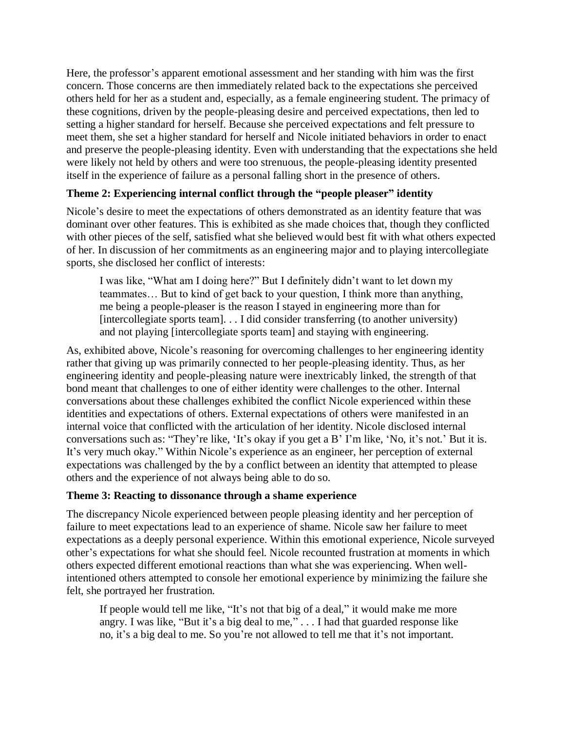Here, the professor's apparent emotional assessment and her standing with him was the first concern. Those concerns are then immediately related back to the expectations she perceived others held for her as a student and, especially, as a female engineering student. The primacy of these cognitions, driven by the people-pleasing desire and perceived expectations, then led to setting a higher standard for herself. Because she perceived expectations and felt pressure to meet them, she set a higher standard for herself and Nicole initiated behaviors in order to enact and preserve the people-pleasing identity. Even with understanding that the expectations she held were likely not held by others and were too strenuous, the people-pleasing identity presented itself in the experience of failure as a personal falling short in the presence of others.

## **Theme 2: Experiencing internal conflict through the "people pleaser" identity**

Nicole's desire to meet the expectations of others demonstrated as an identity feature that was dominant over other features. This is exhibited as she made choices that, though they conflicted with other pieces of the self, satisfied what she believed would best fit with what others expected of her. In discussion of her commitments as an engineering major and to playing intercollegiate sports, she disclosed her conflict of interests:

I was like, "What am I doing here?" But I definitely didn't want to let down my teammates… But to kind of get back to your question, I think more than anything, me being a people-pleaser is the reason I stayed in engineering more than for [intercollegiate sports team]. . . I did consider transferring (to another university) and not playing [intercollegiate sports team] and staying with engineering.

As, exhibited above, Nicole's reasoning for overcoming challenges to her engineering identity rather that giving up was primarily connected to her people-pleasing identity. Thus, as her engineering identity and people-pleasing nature were inextricably linked, the strength of that bond meant that challenges to one of either identity were challenges to the other. Internal conversations about these challenges exhibited the conflict Nicole experienced within these identities and expectations of others. External expectations of others were manifested in an internal voice that conflicted with the articulation of her identity. Nicole disclosed internal conversations such as: "They're like, 'It's okay if you get a B' I'm like, 'No, it's not.' But it is. It's very much okay." Within Nicole's experience as an engineer, her perception of external expectations was challenged by the by a conflict between an identity that attempted to please others and the experience of not always being able to do so.

### **Theme 3: Reacting to dissonance through a shame experience**

The discrepancy Nicole experienced between people pleasing identity and her perception of failure to meet expectations lead to an experience of shame. Nicole saw her failure to meet expectations as a deeply personal experience. Within this emotional experience, Nicole surveyed other's expectations for what she should feel. Nicole recounted frustration at moments in which others expected different emotional reactions than what she was experiencing. When wellintentioned others attempted to console her emotional experience by minimizing the failure she felt, she portrayed her frustration.

If people would tell me like, "It's not that big of a deal," it would make me more angry. I was like, "But it's a big deal to me," . . . I had that guarded response like no, it's a big deal to me. So you're not allowed to tell me that it's not important.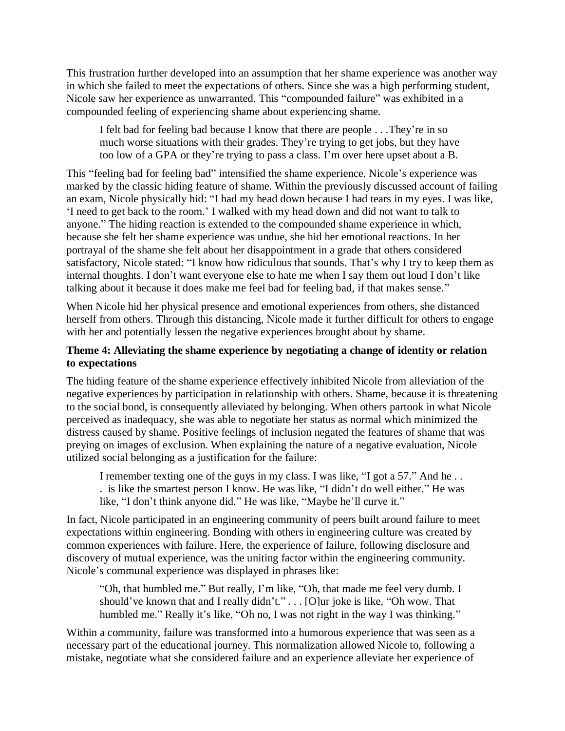This frustration further developed into an assumption that her shame experience was another way in which she failed to meet the expectations of others. Since she was a high performing student, Nicole saw her experience as unwarranted. This "compounded failure" was exhibited in a compounded feeling of experiencing shame about experiencing shame.

I felt bad for feeling bad because I know that there are people . . .They're in so much worse situations with their grades. They're trying to get jobs, but they have too low of a GPA or they're trying to pass a class. I'm over here upset about a B.

This "feeling bad for feeling bad" intensified the shame experience. Nicole's experience was marked by the classic hiding feature of shame. Within the previously discussed account of failing an exam, Nicole physically hid: "I had my head down because I had tears in my eyes. I was like, 'I need to get back to the room.' I walked with my head down and did not want to talk to anyone." The hiding reaction is extended to the compounded shame experience in which, because she felt her shame experience was undue, she hid her emotional reactions. In her portrayal of the shame she felt about her disappointment in a grade that others considered satisfactory, Nicole stated: "I know how ridiculous that sounds. That's why I try to keep them as internal thoughts. I don't want everyone else to hate me when I say them out loud I don't like talking about it because it does make me feel bad for feeling bad, if that makes sense."

When Nicole hid her physical presence and emotional experiences from others, she distanced herself from others. Through this distancing, Nicole made it further difficult for others to engage with her and potentially lessen the negative experiences brought about by shame.

## **Theme 4: Alleviating the shame experience by negotiating a change of identity or relation to expectations**

The hiding feature of the shame experience effectively inhibited Nicole from alleviation of the negative experiences by participation in relationship with others. Shame, because it is threatening to the social bond, is consequently alleviated by belonging. When others partook in what Nicole perceived as inadequacy, she was able to negotiate her status as normal which minimized the distress caused by shame. Positive feelings of inclusion negated the features of shame that was preying on images of exclusion. When explaining the nature of a negative evaluation, Nicole utilized social belonging as a justification for the failure:

I remember texting one of the guys in my class. I was like, "I got a 57." And he . . . is like the smartest person I know. He was like, "I didn't do well either." He was like, "I don't think anyone did." He was like, "Maybe he'll curve it."

In fact, Nicole participated in an engineering community of peers built around failure to meet expectations within engineering. Bonding with others in engineering culture was created by common experiences with failure. Here, the experience of failure, following disclosure and discovery of mutual experience, was the uniting factor within the engineering community. Nicole's communal experience was displayed in phrases like:

"Oh, that humbled me." But really, I'm like, "Oh, that made me feel very dumb. I should've known that and I really didn't." . . . [O]ur joke is like, "Oh wow. That humbled me." Really it's like, "Oh no, I was not right in the way I was thinking."

Within a community, failure was transformed into a humorous experience that was seen as a necessary part of the educational journey. This normalization allowed Nicole to, following a mistake, negotiate what she considered failure and an experience alleviate her experience of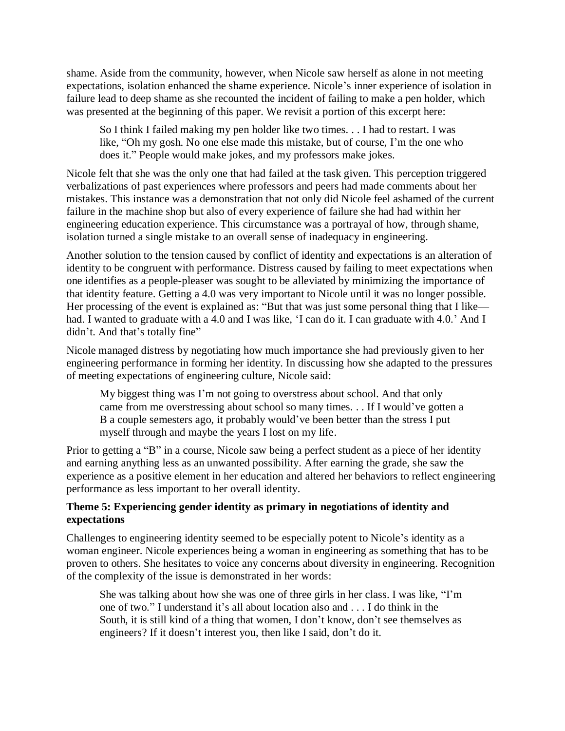shame. Aside from the community, however, when Nicole saw herself as alone in not meeting expectations, isolation enhanced the shame experience. Nicole's inner experience of isolation in failure lead to deep shame as she recounted the incident of failing to make a pen holder, which was presented at the beginning of this paper. We revisit a portion of this excerpt here:

So I think I failed making my pen holder like two times. . . I had to restart. I was like, "Oh my gosh. No one else made this mistake, but of course, I'm the one who does it." People would make jokes, and my professors make jokes.

Nicole felt that she was the only one that had failed at the task given. This perception triggered verbalizations of past experiences where professors and peers had made comments about her mistakes. This instance was a demonstration that not only did Nicole feel ashamed of the current failure in the machine shop but also of every experience of failure she had had within her engineering education experience. This circumstance was a portrayal of how, through shame, isolation turned a single mistake to an overall sense of inadequacy in engineering.

Another solution to the tension caused by conflict of identity and expectations is an alteration of identity to be congruent with performance. Distress caused by failing to meet expectations when one identifies as a people-pleaser was sought to be alleviated by minimizing the importance of that identity feature. Getting a 4.0 was very important to Nicole until it was no longer possible. Her processing of the event is explained as: "But that was just some personal thing that I like had. I wanted to graduate with a 4.0 and I was like, 'I can do it. I can graduate with 4.0.' And I didn't. And that's totally fine"

Nicole managed distress by negotiating how much importance she had previously given to her engineering performance in forming her identity. In discussing how she adapted to the pressures of meeting expectations of engineering culture, Nicole said:

My biggest thing was I'm not going to overstress about school. And that only came from me overstressing about school so many times. . . If I would've gotten a B a couple semesters ago, it probably would've been better than the stress I put myself through and maybe the years I lost on my life.

Prior to getting a "B" in a course, Nicole saw being a perfect student as a piece of her identity and earning anything less as an unwanted possibility. After earning the grade, she saw the experience as a positive element in her education and altered her behaviors to reflect engineering performance as less important to her overall identity.

## **Theme 5: Experiencing gender identity as primary in negotiations of identity and expectations**

Challenges to engineering identity seemed to be especially potent to Nicole's identity as a woman engineer. Nicole experiences being a woman in engineering as something that has to be proven to others. She hesitates to voice any concerns about diversity in engineering. Recognition of the complexity of the issue is demonstrated in her words:

She was talking about how she was one of three girls in her class. I was like, "I'm one of two." I understand it's all about location also and . . . I do think in the South, it is still kind of a thing that women, I don't know, don't see themselves as engineers? If it doesn't interest you, then like I said, don't do it.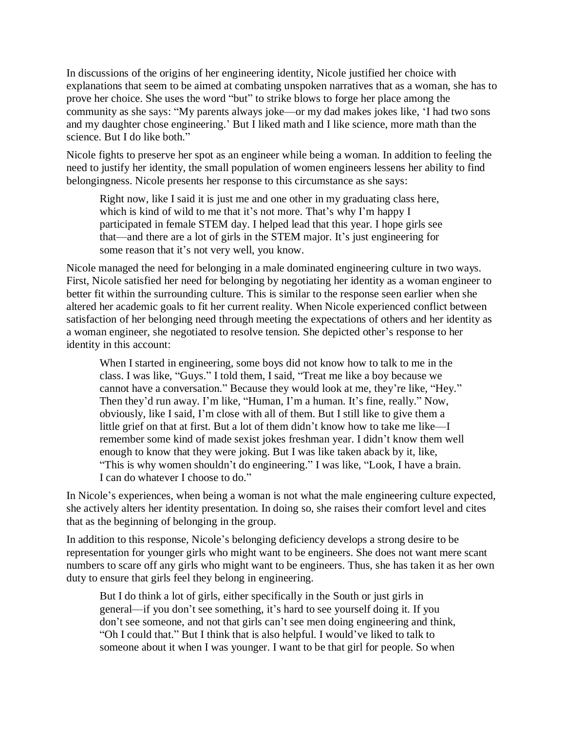In discussions of the origins of her engineering identity, Nicole justified her choice with explanations that seem to be aimed at combating unspoken narratives that as a woman, she has to prove her choice. She uses the word "but" to strike blows to forge her place among the community as she says: "My parents always joke—or my dad makes jokes like, 'I had two sons and my daughter chose engineering.' But I liked math and I like science, more math than the science. But I do like both."

Nicole fights to preserve her spot as an engineer while being a woman. In addition to feeling the need to justify her identity, the small population of women engineers lessens her ability to find belongingness. Nicole presents her response to this circumstance as she says:

Right now, like I said it is just me and one other in my graduating class here, which is kind of wild to me that it's not more. That's why I'm happy I participated in female STEM day. I helped lead that this year. I hope girls see that—and there are a lot of girls in the STEM major. It's just engineering for some reason that it's not very well, you know.

Nicole managed the need for belonging in a male dominated engineering culture in two ways. First, Nicole satisfied her need for belonging by negotiating her identity as a woman engineer to better fit within the surrounding culture. This is similar to the response seen earlier when she altered her academic goals to fit her current reality. When Nicole experienced conflict between satisfaction of her belonging need through meeting the expectations of others and her identity as a woman engineer, she negotiated to resolve tension. She depicted other's response to her identity in this account:

When I started in engineering, some boys did not know how to talk to me in the class. I was like, "Guys." I told them, I said, "Treat me like a boy because we cannot have a conversation." Because they would look at me, they're like, "Hey." Then they'd run away. I'm like, "Human, I'm a human. It's fine, really." Now, obviously, like I said, I'm close with all of them. But I still like to give them a little grief on that at first. But a lot of them didn't know how to take me like—I remember some kind of made sexist jokes freshman year. I didn't know them well enough to know that they were joking. But I was like taken aback by it, like, "This is why women shouldn't do engineering." I was like, "Look, I have a brain. I can do whatever I choose to do."

In Nicole's experiences, when being a woman is not what the male engineering culture expected, she actively alters her identity presentation. In doing so, she raises their comfort level and cites that as the beginning of belonging in the group.

In addition to this response, Nicole's belonging deficiency develops a strong desire to be representation for younger girls who might want to be engineers. She does not want mere scant numbers to scare off any girls who might want to be engineers. Thus, she has taken it as her own duty to ensure that girls feel they belong in engineering.

But I do think a lot of girls, either specifically in the South or just girls in general—if you don't see something, it's hard to see yourself doing it. If you don't see someone, and not that girls can't see men doing engineering and think, "Oh I could that." But I think that is also helpful. I would've liked to talk to someone about it when I was younger. I want to be that girl for people. So when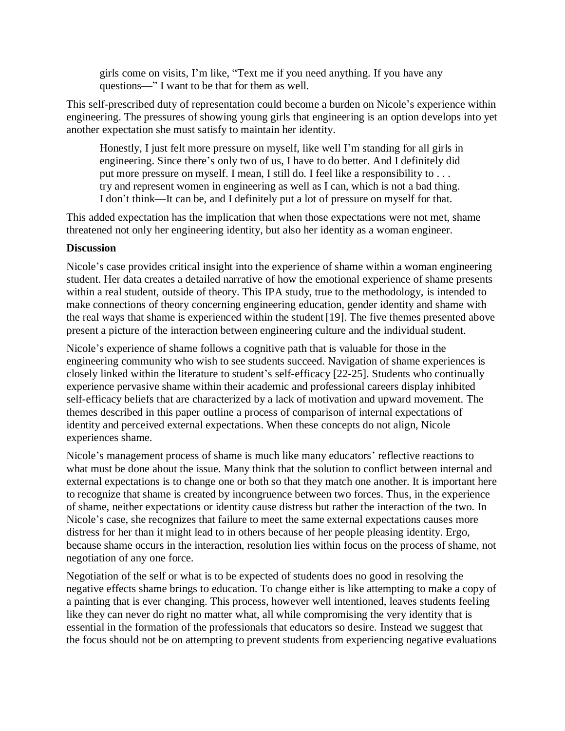girls come on visits, I'm like, "Text me if you need anything. If you have any questions—" I want to be that for them as well.

This self-prescribed duty of representation could become a burden on Nicole's experience within engineering. The pressures of showing young girls that engineering is an option develops into yet another expectation she must satisfy to maintain her identity.

Honestly, I just felt more pressure on myself, like well I'm standing for all girls in engineering. Since there's only two of us, I have to do better. And I definitely did put more pressure on myself. I mean, I still do. I feel like a responsibility to . . . try and represent women in engineering as well as I can, which is not a bad thing. I don't think—It can be, and I definitely put a lot of pressure on myself for that.

This added expectation has the implication that when those expectations were not met, shame threatened not only her engineering identity, but also her identity as a woman engineer.

## **Discussion**

Nicole's case provides critical insight into the experience of shame within a woman engineering student. Her data creates a detailed narrative of how the emotional experience of shame presents within a real student, outside of theory. This IPA study, true to the methodology, is intended to make connections of theory concerning engineering education, gender identity and shame with the real ways that shame is experienced within the student [19]. The five themes presented above present a picture of the interaction between engineering culture and the individual student.

Nicole's experience of shame follows a cognitive path that is valuable for those in the engineering community who wish to see students succeed. Navigation of shame experiences is closely linked within the literature to student's self-efficacy [22-25]. Students who continually experience pervasive shame within their academic and professional careers display inhibited self-efficacy beliefs that are characterized by a lack of motivation and upward movement. The themes described in this paper outline a process of comparison of internal expectations of identity and perceived external expectations. When these concepts do not align, Nicole experiences shame.

Nicole's management process of shame is much like many educators' reflective reactions to what must be done about the issue. Many think that the solution to conflict between internal and external expectations is to change one or both so that they match one another. It is important here to recognize that shame is created by incongruence between two forces. Thus, in the experience of shame, neither expectations or identity cause distress but rather the interaction of the two. In Nicole's case, she recognizes that failure to meet the same external expectations causes more distress for her than it might lead to in others because of her people pleasing identity. Ergo, because shame occurs in the interaction, resolution lies within focus on the process of shame, not negotiation of any one force.

Negotiation of the self or what is to be expected of students does no good in resolving the negative effects shame brings to education. To change either is like attempting to make a copy of a painting that is ever changing. This process, however well intentioned, leaves students feeling like they can never do right no matter what, all while compromising the very identity that is essential in the formation of the professionals that educators so desire. Instead we suggest that the focus should not be on attempting to prevent students from experiencing negative evaluations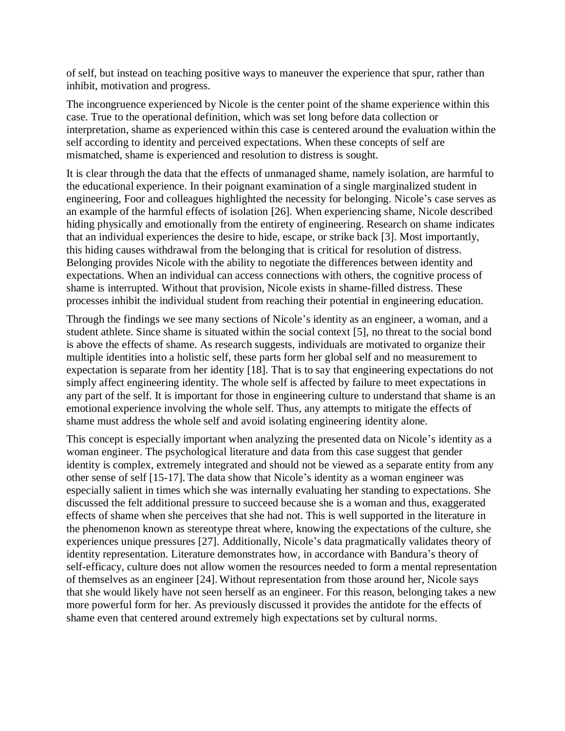of self, but instead on teaching positive ways to maneuver the experience that spur, rather than inhibit, motivation and progress.

The incongruence experienced by Nicole is the center point of the shame experience within this case. True to the operational definition, which was set long before data collection or interpretation, shame as experienced within this case is centered around the evaluation within the self according to identity and perceived expectations. When these concepts of self are mismatched, shame is experienced and resolution to distress is sought.

It is clear through the data that the effects of unmanaged shame, namely isolation, are harmful to the educational experience. In their poignant examination of a single marginalized student in engineering, Foor and colleagues highlighted the necessity for belonging. Nicole's case serves as an example of the harmful effects of isolation [26]. When experiencing shame, Nicole described hiding physically and emotionally from the entirety of engineering. Research on shame indicates that an individual experiences the desire to hide, escape, or strike back [3]. Most importantly, this hiding causes withdrawal from the belonging that is critical for resolution of distress. Belonging provides Nicole with the ability to negotiate the differences between identity and expectations. When an individual can access connections with others, the cognitive process of shame is interrupted. Without that provision, Nicole exists in shame-filled distress. These processes inhibit the individual student from reaching their potential in engineering education.

Through the findings we see many sections of Nicole's identity as an engineer, a woman, and a student athlete. Since shame is situated within the social context [5], no threat to the social bond is above the effects of shame. As research suggests, individuals are motivated to organize their multiple identities into a holistic self, these parts form her global self and no measurement to expectation is separate from her identity [18]. That is to say that engineering expectations do not simply affect engineering identity. The whole self is affected by failure to meet expectations in any part of the self. It is important for those in engineering culture to understand that shame is an emotional experience involving the whole self. Thus, any attempts to mitigate the effects of shame must address the whole self and avoid isolating engineering identity alone.

This concept is especially important when analyzing the presented data on Nicole's identity as a woman engineer. The psychological literature and data from this case suggest that gender identity is complex, extremely integrated and should not be viewed as a separate entity from any other sense of self [15-17]. The data show that Nicole's identity as a woman engineer was especially salient in times which she was internally evaluating her standing to expectations. She discussed the felt additional pressure to succeed because she is a woman and thus, exaggerated effects of shame when she perceives that she had not. This is well supported in the literature in the phenomenon known as stereotype threat where, knowing the expectations of the culture, she experiences unique pressures [27]. Additionally, Nicole's data pragmatically validates theory of identity representation. Literature demonstrates how, in accordance with Bandura's theory of self-efficacy, culture does not allow women the resources needed to form a mental representation of themselves as an engineer [24]. Without representation from those around her, Nicole says that she would likely have not seen herself as an engineer. For this reason, belonging takes a new more powerful form for her. As previously discussed it provides the antidote for the effects of shame even that centered around extremely high expectations set by cultural norms.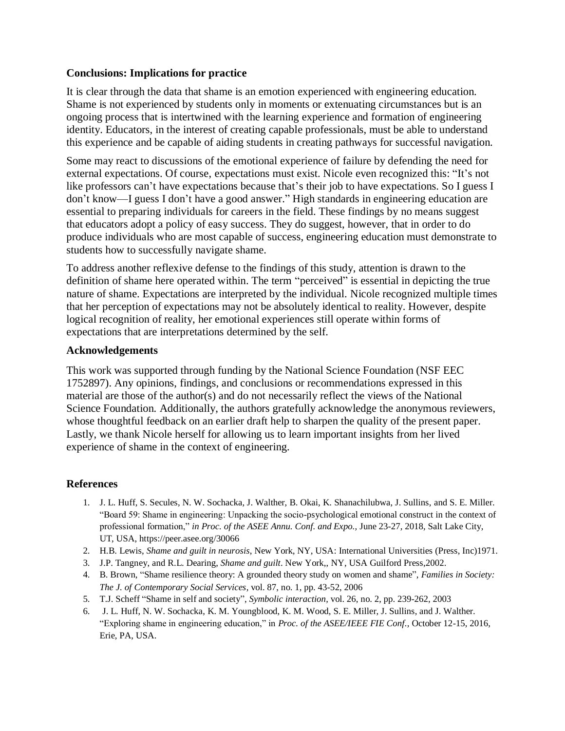## **Conclusions: Implications for practice**

It is clear through the data that shame is an emotion experienced with engineering education. Shame is not experienced by students only in moments or extenuating circumstances but is an ongoing process that is intertwined with the learning experience and formation of engineering identity. Educators, in the interest of creating capable professionals, must be able to understand this experience and be capable of aiding students in creating pathways for successful navigation.

Some may react to discussions of the emotional experience of failure by defending the need for external expectations. Of course, expectations must exist. Nicole even recognized this: "It's not like professors can't have expectations because that's their job to have expectations. So I guess I don't know—I guess I don't have a good answer." High standards in engineering education are essential to preparing individuals for careers in the field. These findings by no means suggest that educators adopt a policy of easy success. They do suggest, however, that in order to do produce individuals who are most capable of success, engineering education must demonstrate to students how to successfully navigate shame.

To address another reflexive defense to the findings of this study, attention is drawn to the definition of shame here operated within. The term "perceived" is essential in depicting the true nature of shame. Expectations are interpreted by the individual. Nicole recognized multiple times that her perception of expectations may not be absolutely identical to reality. However, despite logical recognition of reality, her emotional experiences still operate within forms of expectations that are interpretations determined by the self.

## **Acknowledgements**

This work was supported through funding by the National Science Foundation (NSF EEC 1752897). Any opinions, findings, and conclusions or recommendations expressed in this material are those of the author(s) and do not necessarily reflect the views of the National Science Foundation. Additionally, the authors gratefully acknowledge the anonymous reviewers, whose thoughtful feedback on an earlier draft help to sharpen the quality of the present paper. Lastly, we thank Nicole herself for allowing us to learn important insights from her lived experience of shame in the context of engineering.

## **References**

- 1. J. L. Huff, S. Secules, N. W. Sochacka, J. Walther, B. Okai, K. Shanachilubwa, J. Sullins, and S. E. Miller. "Board 59: Shame in engineering: Unpacking the socio-psychological emotional construct in the context of professional formation," *in Proc. of the ASEE Annu. Conf. and Expo.,* June 23-27, 2018, Salt Lake City, UT, USA, https://peer.asee.org/30066
- 2. H.B. Lewis, *Shame and guilt in neurosis*, New York, NY, USA: International Universities (Press, Inc)1971.
- 3. J.P. Tangney, and R.L. Dearing, *Shame and guilt*. New York,, NY, USA Guilford Press,2002.
- 4. B. Brown, "Shame resilience theory: A grounded theory study on women and shame", *Families in Society: The J. of Contemporary Social Services*, vol. 87, no. 1, pp. 43-52, 2006
- 5. T.J. Scheff "Shame in self and society", *Symbolic interaction*, vol. 26, no. 2, pp. 239-262, 2003
- 6. J. L. Huff, N. W. Sochacka, K. M. Youngblood, K. M. Wood, S. E. Miller, J. Sullins, and J. Walther. "Exploring shame in engineering education," in *Proc. of the ASEE/IEEE FIE Conf.,* October 12-15, 2016, Erie, PA, USA.